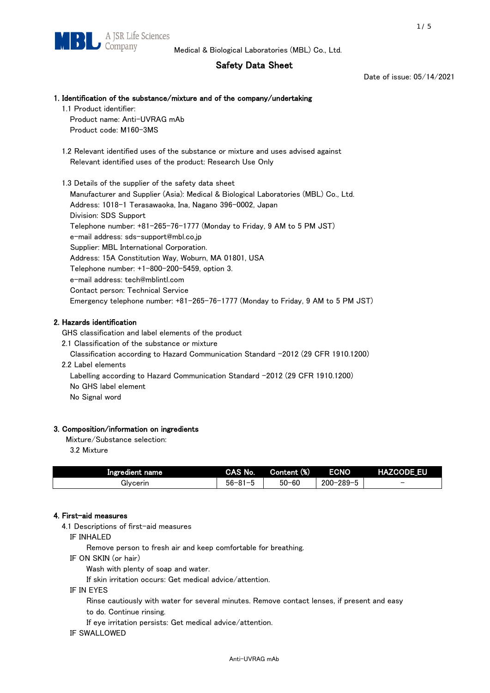# Safety Data Sheet

Date of issue: 05/14/2021

# 1. Identification of the substance/mixture and of the company/undertaking

1.1 Product identifier: Product name: Anti-UVRAG mAb

Product code: M160-3MS

 1.2 Relevant identified uses of the substance or mixture and uses advised against Relevant identified uses of the product: Research Use Only

 1.3 Details of the supplier of the safety data sheet Manufacturer and Supplier (Asia): Medical & Biological Laboratories (MBL) Co., Ltd. Address: 1018-1 Terasawaoka, Ina, Nagano 396-0002, Japan Division: SDS Support Telephone number: +81-265-76-1777 (Monday to Friday, 9 AM to 5 PM JST) e-mail address: sds-support@mbl.co.jp Supplier: MBL International Corporation. Address: 15A Constitution Way, Woburn, MA 01801, USA Telephone number: +1-800-200-5459, option 3. e-mail address: tech@mblintl.com Contact person: Technical Service Emergency telephone number: +81-265-76-1777 (Monday to Friday, 9 AM to 5 PM JST)

# 2. Hazards identification

GHS classification and label elements of the product

2.1 Classification of the substance or mixture

Classification according to Hazard Communication Standard -2012 (29 CFR 1910.1200)

2.2 Label elements

Labelling according to Hazard Communication Standard -2012 (29 CFR 1910.1200) No GHS label element

No Signal word

# 3. Composition/information on ingredients

Mixture/Substance selection:

3.2 Mixture

| Ingredient name | CAS No.             | Content (%) | <b>ECNO</b>                                              | <b>HAZCODE_EU</b>        |
|-----------------|---------------------|-------------|----------------------------------------------------------|--------------------------|
| Glvcerin        | $56 - 81 -$<br>ິບ ເ | $50 - 60$   | $-289 - 1$<br>$200 - 2$<br>$\overline{\phantom{0}}$<br>v | $\overline{\phantom{0}}$ |

### 4. First-aid measures

4.1 Descriptions of first-aid measures

IF INHALED

Remove person to fresh air and keep comfortable for breathing.

IF ON SKIN (or hair)

Wash with plenty of soap and water.

If skin irritation occurs: Get medical advice/attention.

IF IN EYES

Rinse cautiously with water for several minutes. Remove contact lenses, if present and easy

to do. Continue rinsing.

If eye irritation persists: Get medical advice/attention.

IF SWALLOWED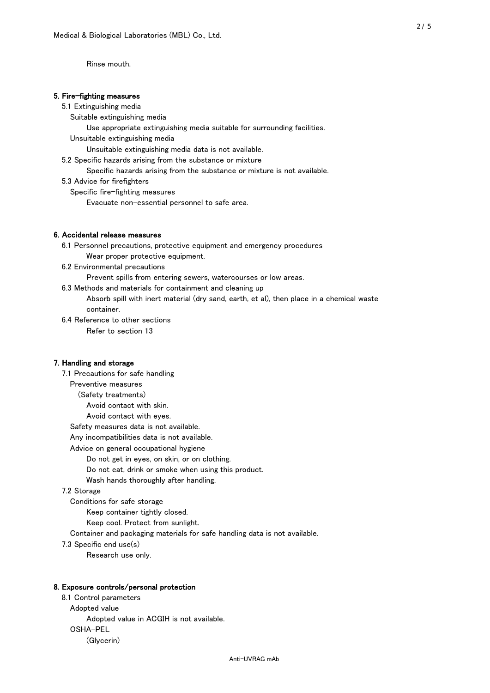Rinse mouth.

### 5. Fire-fighting measures

#### 5.1 Extinguishing media

Suitable extinguishing media

Use appropriate extinguishing media suitable for surrounding facilities.

Unsuitable extinguishing media

Unsuitable extinguishing media data is not available.

5.2 Specific hazards arising from the substance or mixture

Specific hazards arising from the substance or mixture is not available.

5.3 Advice for firefighters

Specific fire-fighting measures

Evacuate non-essential personnel to safe area.

### 6. Accidental release measures

 6.1 Personnel precautions, protective equipment and emergency procedures Wear proper protective equipment.

6.2 Environmental precautions

Prevent spills from entering sewers, watercourses or low areas.

6.3 Methods and materials for containment and cleaning up

 Absorb spill with inert material (dry sand, earth, et al), then place in a chemical waste container.

6.4 Reference to other sections

Refer to section 13

# 7. Handling and storage

 7.1 Precautions for safe handling Preventive measures (Safety treatments) Avoid contact with skin. Avoid contact with eyes. Safety measures data is not available. Any incompatibilities data is not available. Advice on general occupational hygiene Do not get in eyes, on skin, or on clothing. Do not eat, drink or smoke when using this product. Wash hands thoroughly after handling. 7.2 Storage Conditions for safe storage Keep container tightly closed.

Keep cool. Protect from sunlight.

Container and packaging materials for safe handling data is not available.

7.3 Specific end use(s)

Research use only.

#### 8. Exposure controls/personal protection

 8.1 Control parameters Adopted value Adopted value in ACGIH is not available. OSHA-PEL (Glycerin)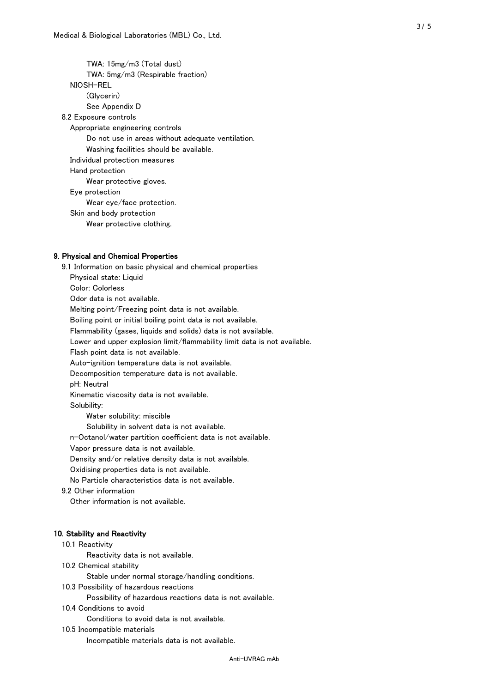TWA: 15mg/m3 (Total dust) TWA: 5mg/m3 (Respirable fraction) NIOSH-REL (Glycerin) See Appendix D 8.2 Exposure controls Appropriate engineering controls Do not use in areas without adequate ventilation. Washing facilities should be available. Individual protection measures Hand protection Wear protective gloves. Eye protection Wear eye/face protection. Skin and body protection Wear protective clothing.

#### 9. Physical and Chemical Properties

 9.1 Information on basic physical and chemical properties Physical state: Liquid Color: Colorless Odor data is not available. Melting point/Freezing point data is not available. Boiling point or initial boiling point data is not available. Flammability (gases, liquids and solids) data is not available. Lower and upper explosion limit/flammability limit data is not available. Flash point data is not available. Auto-ignition temperature data is not available. Decomposition temperature data is not available. pH: Neutral Kinematic viscosity data is not available. Solubility: Water solubility: miscible Solubility in solvent data is not available. n-Octanol/water partition coefficient data is not available. Vapor pressure data is not available. Density and/or relative density data is not available. Oxidising properties data is not available. No Particle characteristics data is not available. 9.2 Other information Other information is not available. 10. Stability and Reactivity 10.1 Reactivity Reactivity data is not available. 10.2 Chemical stability Stable under normal storage/handling conditions. 10.3 Possibility of hazardous reactions

Possibility of hazardous reactions data is not available.

# 10.4 Conditions to avoid

Conditions to avoid data is not available.

#### 10.5 Incompatible materials

Incompatible materials data is not available.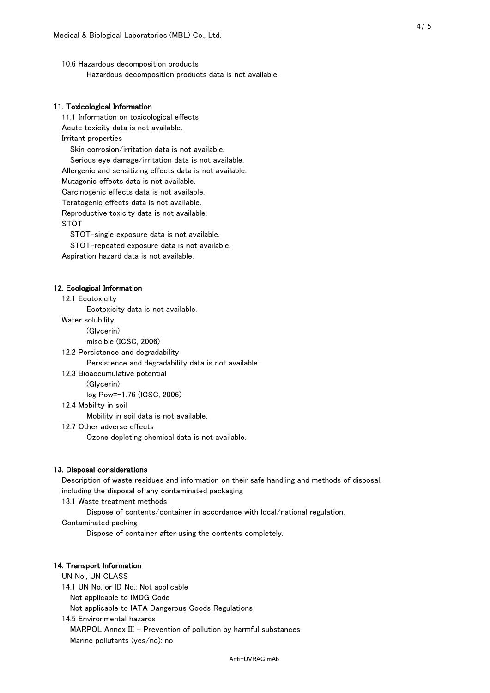10.6 Hazardous decomposition products Hazardous decomposition products data is not available.

### 11. Toxicological Information

 11.1 Information on toxicological effects Acute toxicity data is not available. Irritant properties Skin corrosion/irritation data is not available. Serious eye damage/irritation data is not available. Allergenic and sensitizing effects data is not available. Mutagenic effects data is not available. Carcinogenic effects data is not available. Teratogenic effects data is not available. Reproductive toxicity data is not available. STOT

STOT-single exposure data is not available.

STOT-repeated exposure data is not available.

Aspiration hazard data is not available.

#### 12. Ecological Information

12.1 Ecotoxicity

Ecotoxicity data is not available.

Water solubility

(Glycerin)

miscible (ICSC, 2006)

12.2 Persistence and degradability

Persistence and degradability data is not available.

12.3 Bioaccumulative potential

(Glycerin)

log Pow=-1.76 (ICSC, 2006)

12.4 Mobility in soil

Mobility in soil data is not available.

12.7 Other adverse effects

Ozone depleting chemical data is not available.

#### 13. Disposal considerations

 Description of waste residues and information on their safe handling and methods of disposal, including the disposal of any contaminated packaging

13.1 Waste treatment methods

Dispose of contents/container in accordance with local/national regulation.

Contaminated packing

Dispose of container after using the contents completely.

#### 14. Transport Information

 UN No., UN CLASS 14.1 UN No. or ID No.: Not applicable Not applicable to IMDG Code Not applicable to IATA Dangerous Goods Regulations

 14.5 Environmental hazards MARPOL Annex III - Prevention of pollution by harmful substances Marine pollutants (yes/no): no